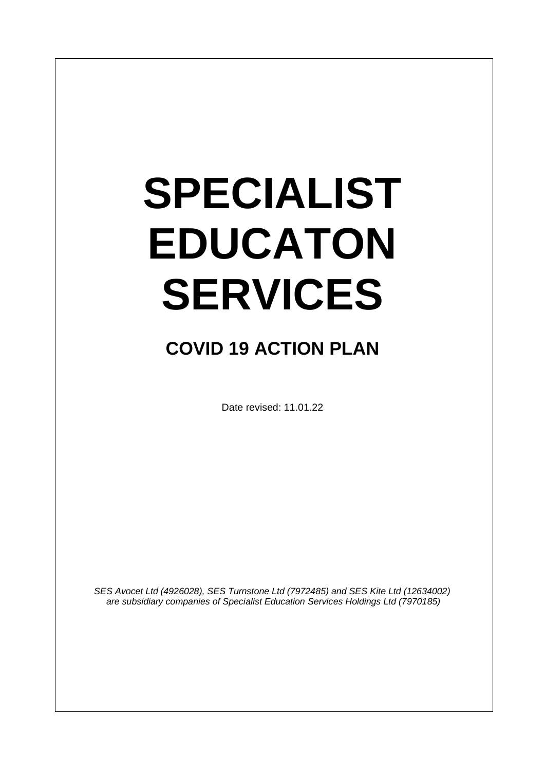# **SPECIALIST EDUCATON SERVICES**

# **COVID 19 ACTION PLAN**

Date revised: 11.01.22

*SES Avocet Ltd (4926028), SES Turnstone Ltd (7972485) and SES Kite Ltd (12634002) are subsidiary companies of Specialist Education Services Holdings Ltd (7970185)*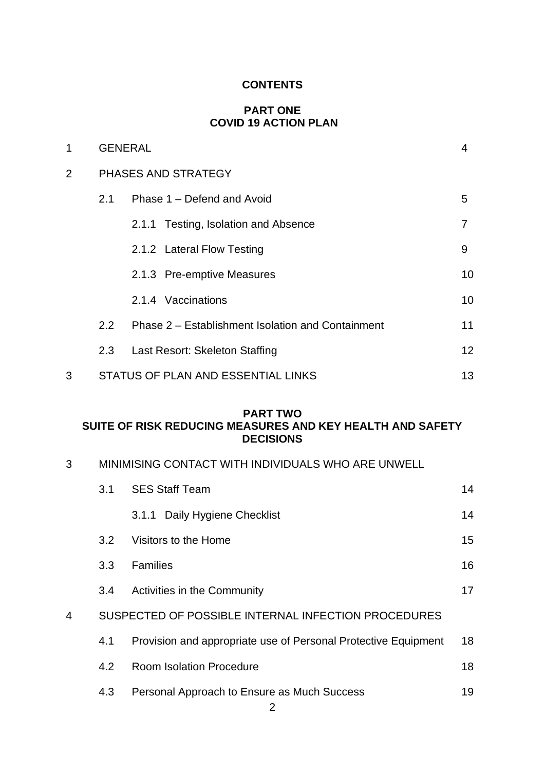# **CONTENTS**

# **PART ONE COVID 19 ACTION PLAN**

| 1              | <b>GENERAL</b> |                                                   | 4               |  |
|----------------|----------------|---------------------------------------------------|-----------------|--|
| $\overline{2}$ |                | PHASES AND STRATEGY                               |                 |  |
|                | 2.1            | Phase 1 – Defend and Avoid                        | 5               |  |
|                |                | 2.1.1 Testing, Isolation and Absence              | 7               |  |
|                |                | 2.1.2 Lateral Flow Testing                        | 9               |  |
|                |                | 2.1.3 Pre-emptive Measures                        | 10              |  |
|                |                | 2.1.4 Vaccinations                                | 10              |  |
|                | $2.2^{\circ}$  | Phase 2 – Establishment Isolation and Containment | 11              |  |
|                | 2.3            | Last Resort: Skeleton Staffing                    | 12 <sup>2</sup> |  |
| 3              |                | STATUS OF PLAN AND ESSENTIAL LINKS                | 13              |  |

# **PART TWO SUITE OF RISK REDUCING MEASURES AND KEY HEALTH AND SAFETY DECISIONS**

|  |  |  |  |  | MINIMISING CONTACT WITH INDIVIDUALS WHO ARE UNWELL |
|--|--|--|--|--|----------------------------------------------------|
|--|--|--|--|--|----------------------------------------------------|

|   | 3.1              | <b>SES Staff Team</b>                                          | 14 |
|---|------------------|----------------------------------------------------------------|----|
|   |                  | 3.1.1 Daily Hygiene Checklist                                  | 14 |
|   | 3.2 <sub>2</sub> | Visitors to the Home                                           | 15 |
|   | 3.3              | <b>Families</b>                                                | 16 |
|   | 3.4              | Activities in the Community                                    | 17 |
| 4 |                  | SUSPECTED OF POSSIBLE INTERNAL INFECTION PROCEDURES            |    |
|   | 4.1              | Provision and appropriate use of Personal Protective Equipment | 18 |
|   | 4.2              | <b>Room Isolation Procedure</b>                                | 18 |
|   | 4.3              | Personal Approach to Ensure as Much Success                    | 19 |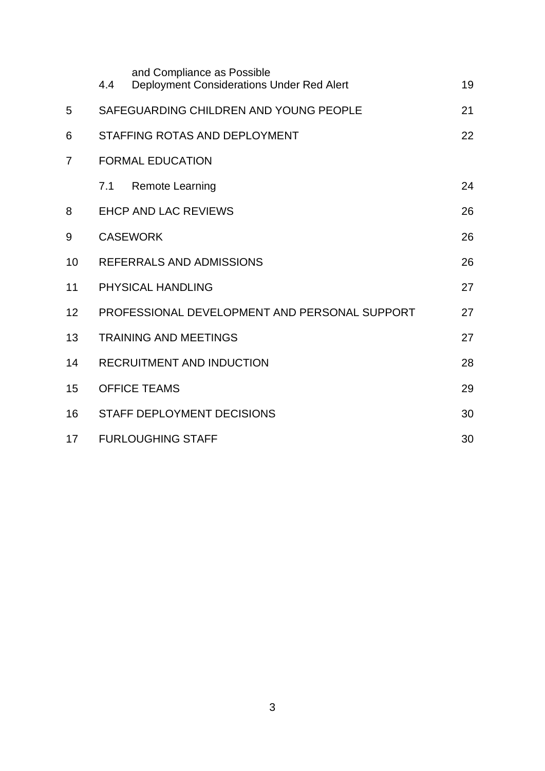|                | 4.4                                           | and Compliance as Possible<br>Deployment Considerations Under Red Alert | 19 |
|----------------|-----------------------------------------------|-------------------------------------------------------------------------|----|
| 5              | SAFEGUARDING CHILDREN AND YOUNG PEOPLE        |                                                                         | 21 |
| 6              |                                               | STAFFING ROTAS AND DEPLOYMENT                                           | 22 |
| $\overline{7}$ | <b>FORMAL EDUCATION</b>                       |                                                                         |    |
|                | 7.1                                           | <b>Remote Learning</b>                                                  | 24 |
| 8              |                                               | <b>EHCP AND LAC REVIEWS</b>                                             | 26 |
| 9              | <b>CASEWORK</b>                               |                                                                         | 26 |
| 10             | REFERRALS AND ADMISSIONS                      |                                                                         | 26 |
| 11             | PHYSICAL HANDLING                             |                                                                         | 27 |
| 12             | PROFESSIONAL DEVELOPMENT AND PERSONAL SUPPORT |                                                                         | 27 |
| 13             | <b>TRAINING AND MEETINGS</b>                  |                                                                         | 27 |
| 14             |                                               | <b>RECRUITMENT AND INDUCTION</b>                                        | 28 |
| 15             | <b>OFFICE TEAMS</b>                           |                                                                         | 29 |
| 16             |                                               | <b>STAFF DEPLOYMENT DECISIONS</b>                                       | 30 |
| 17             |                                               | <b>FURLOUGHING STAFF</b>                                                | 30 |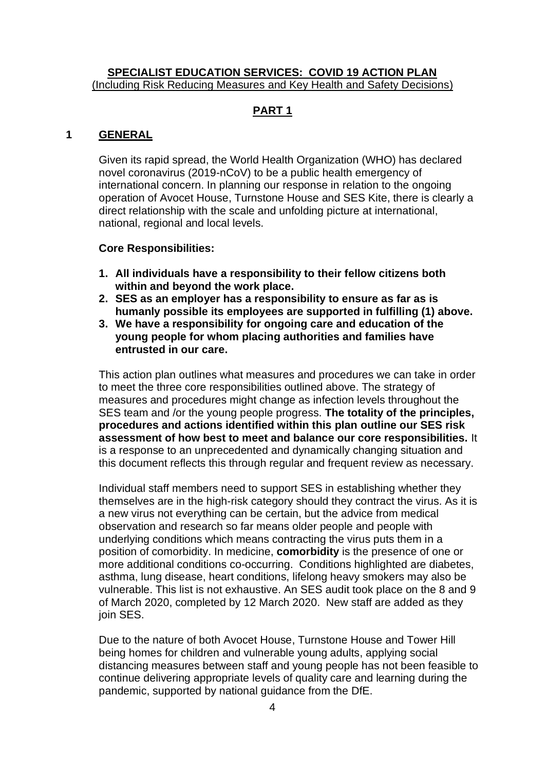#### **SPECIALIST EDUCATION SERVICES: COVID 19 ACTION PLAN** (Including Risk Reducing Measures and Key Health and Safety Decisions)

# **PART 1**

# **1 GENERAL**

Given its rapid spread, the World Health Organization (WHO) has declared novel coronavirus (2019-nCoV) to be a public health emergency of international concern. In planning our response in relation to the ongoing operation of Avocet House, Turnstone House and SES Kite, there is clearly a direct relationship with the scale and unfolding picture at international, national, regional and local levels.

#### **Core Responsibilities:**

- **1. All individuals have a responsibility to their fellow citizens both within and beyond the work place.**
- **2. SES as an employer has a responsibility to ensure as far as is humanly possible its employees are supported in fulfilling (1) above.**
- **3. We have a responsibility for ongoing care and education of the young people for whom placing authorities and families have entrusted in our care.**

This action plan outlines what measures and procedures we can take in order to meet the three core responsibilities outlined above. The strategy of measures and procedures might change as infection levels throughout the SES team and /or the young people progress. **The totality of the principles, procedures and actions identified within this plan outline our SES risk assessment of how best to meet and balance our core responsibilities.** It is a response to an unprecedented and dynamically changing situation and this document reflects this through regular and frequent review as necessary.

Individual staff members need to support SES in establishing whether they themselves are in the high-risk category should they contract the virus. As it is a new virus not everything can be certain, but the advice from medical observation and research so far means older people and people with underlying conditions which means contracting the virus puts them in a position of comorbidity. In medicine, **comorbidity** is the presence of one or more additional conditions co-occurring. Conditions highlighted are diabetes, asthma, lung disease, heart conditions, lifelong heavy smokers may also be vulnerable. This list is not exhaustive. An SES audit took place on the 8 and 9 of March 2020, completed by 12 March 2020. New staff are added as they join SES.

Due to the nature of both Avocet House, Turnstone House and Tower Hill being homes for children and vulnerable young adults, applying social distancing measures between staff and young people has not been feasible to continue delivering appropriate levels of quality care and learning during the pandemic, supported by national guidance from the DfE.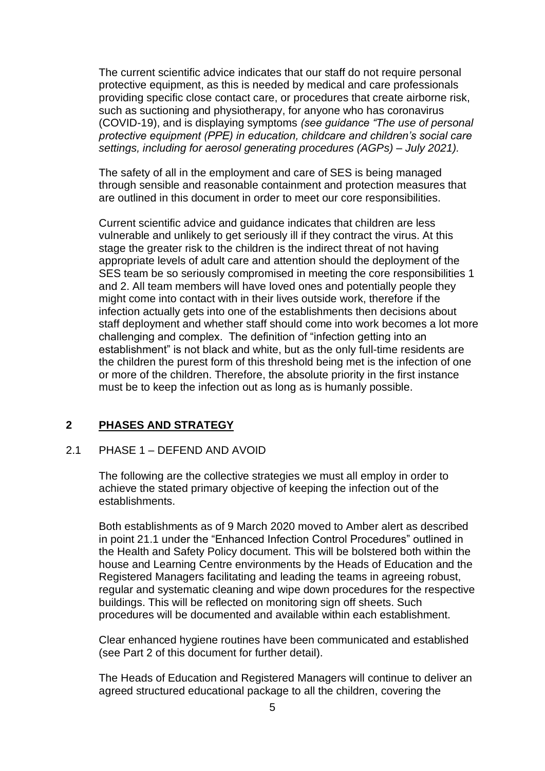The current scientific advice indicates that our staff do not require personal protective equipment, as this is needed by medical and care professionals providing specific close contact care, or procedures that create airborne risk, such as suctioning and physiotherapy, for anyone who has coronavirus (COVID-19), and is displaying symptoms *(see guidance "The use of personal protective equipment (PPE) in education, childcare and children's social care settings, including for aerosol generating procedures (AGPs) – July 2021).*

The safety of all in the employment and care of SES is being managed through sensible and reasonable containment and protection measures that are outlined in this document in order to meet our core responsibilities.

Current scientific advice and guidance indicates that children are less vulnerable and unlikely to get seriously ill if they contract the virus. At this stage the greater risk to the children is the indirect threat of not having appropriate levels of adult care and attention should the deployment of the SES team be so seriously compromised in meeting the core responsibilities 1 and 2. All team members will have loved ones and potentially people they might come into contact with in their lives outside work, therefore if the infection actually gets into one of the establishments then decisions about staff deployment and whether staff should come into work becomes a lot more challenging and complex. The definition of "infection getting into an establishment" is not black and white, but as the only full-time residents are the children the purest form of this threshold being met is the infection of one or more of the children. Therefore, the absolute priority in the first instance must be to keep the infection out as long as is humanly possible.

# **2 PHASES AND STRATEGY**

#### 2.1 PHASE 1 – DEFEND AND AVOID

The following are the collective strategies we must all employ in order to achieve the stated primary objective of keeping the infection out of the establishments.

Both establishments as of 9 March 2020 moved to Amber alert as described in point 21.1 under the "Enhanced Infection Control Procedures" outlined in the Health and Safety Policy document. This will be bolstered both within the house and Learning Centre environments by the Heads of Education and the Registered Managers facilitating and leading the teams in agreeing robust, regular and systematic cleaning and wipe down procedures for the respective buildings. This will be reflected on monitoring sign off sheets. Such procedures will be documented and available within each establishment.

Clear enhanced hygiene routines have been communicated and established (see Part 2 of this document for further detail).

The Heads of Education and Registered Managers will continue to deliver an agreed structured educational package to all the children, covering the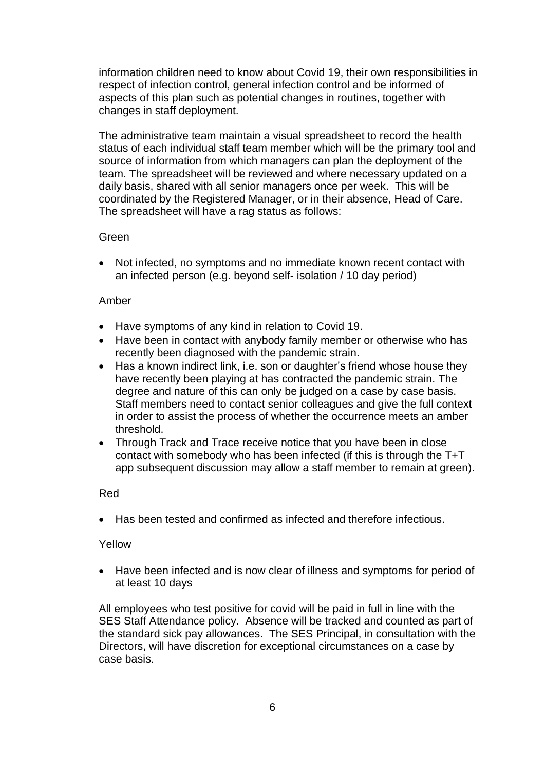information children need to know about Covid 19, their own responsibilities in respect of infection control, general infection control and be informed of aspects of this plan such as potential changes in routines, together with changes in staff deployment.

The administrative team maintain a visual spreadsheet to record the health status of each individual staff team member which will be the primary tool and source of information from which managers can plan the deployment of the team. The spreadsheet will be reviewed and where necessary updated on a daily basis, shared with all senior managers once per week. This will be coordinated by the Registered Manager, or in their absence, Head of Care. The spreadsheet will have a rag status as follows:

# Green

• Not infected, no symptoms and no immediate known recent contact with an infected person (e.g. beyond self- isolation / 10 day period)

# Amber

- Have symptoms of any kind in relation to Covid 19.
- Have been in contact with anybody family member or otherwise who has recently been diagnosed with the pandemic strain.
- Has a known indirect link, i.e. son or daughter's friend whose house they have recently been playing at has contracted the pandemic strain. The degree and nature of this can only be judged on a case by case basis. Staff members need to contact senior colleagues and give the full context in order to assist the process of whether the occurrence meets an amber threshold.
- Through Track and Trace receive notice that you have been in close contact with somebody who has been infected (if this is through the T+T app subsequent discussion may allow a staff member to remain at green).

# Red

• Has been tested and confirmed as infected and therefore infectious.

#### Yellow

• Have been infected and is now clear of illness and symptoms for period of at least 10 days

All employees who test positive for covid will be paid in full in line with the SES Staff Attendance policy. Absence will be tracked and counted as part of the standard sick pay allowances. The SES Principal, in consultation with the Directors, will have discretion for exceptional circumstances on a case by case basis.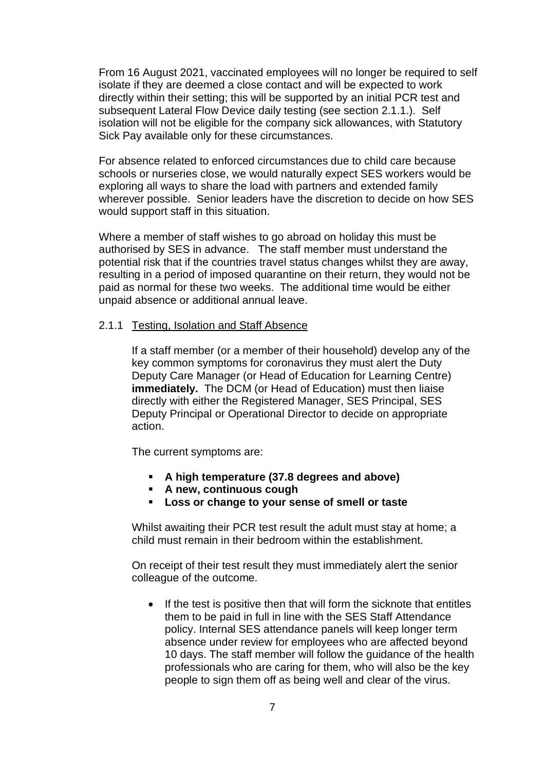From 16 August 2021, vaccinated employees will no longer be required to self isolate if they are deemed a close contact and will be expected to work directly within their setting; this will be supported by an initial PCR test and subsequent Lateral Flow Device daily testing (see section 2.1.1.). Self isolation will not be eligible for the company sick allowances, with Statutory Sick Pay available only for these circumstances.

For absence related to enforced circumstances due to child care because schools or nurseries close, we would naturally expect SES workers would be exploring all ways to share the load with partners and extended family wherever possible. Senior leaders have the discretion to decide on how SES would support staff in this situation.

Where a member of staff wishes to go abroad on holiday this must be authorised by SES in advance. The staff member must understand the potential risk that if the countries travel status changes whilst they are away, resulting in a period of imposed quarantine on their return, they would not be paid as normal for these two weeks. The additional time would be either unpaid absence or additional annual leave.

#### 2.1.1 Testing, Isolation and Staff Absence

If a staff member (or a member of their household) develop any of the key common symptoms for coronavirus they must alert the Duty Deputy Care Manager (or Head of Education for Learning Centre) **immediately.** The DCM (or Head of Education) must then liaise directly with either the Registered Manager, SES Principal, SES Deputy Principal or Operational Director to decide on appropriate action.

The current symptoms are:

- **A high temperature (37.8 degrees and above)**
- **A new, continuous cough**
- **Loss or change to your sense of smell or taste**

Whilst awaiting their PCR test result the adult must stay at home; a child must remain in their bedroom within the establishment.

On receipt of their test result they must immediately alert the senior colleague of the outcome.

• If the test is positive then that will form the sicknote that entitles them to be paid in full in line with the SES Staff Attendance policy. Internal SES attendance panels will keep longer term absence under review for employees who are affected beyond 10 days. The staff member will follow the guidance of the health professionals who are caring for them, who will also be the key people to sign them off as being well and clear of the virus.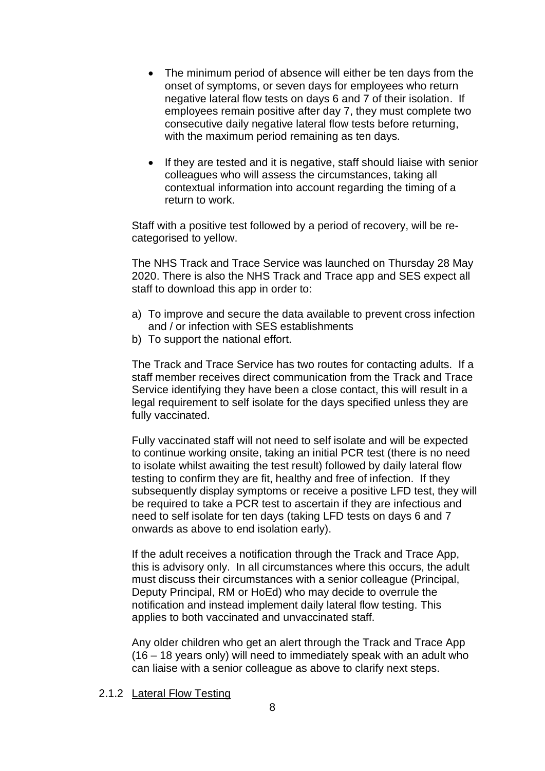- The minimum period of absence will either be ten days from the onset of symptoms, or seven days for employees who return negative lateral flow tests on days 6 and 7 of their isolation. If employees remain positive after day 7, they must complete two consecutive daily negative lateral flow tests before returning, with the maximum period remaining as ten days.
- If they are tested and it is negative, staff should liaise with senior colleagues who will assess the circumstances, taking all contextual information into account regarding the timing of a return to work.

Staff with a positive test followed by a period of recovery, will be recategorised to yellow.

The NHS Track and Trace Service was launched on Thursday 28 May 2020. There is also the NHS Track and Trace app and SES expect all staff to download this app in order to:

- a) To improve and secure the data available to prevent cross infection and / or infection with SES establishments
- b) To support the national effort.

The Track and Trace Service has two routes for contacting adults. If a staff member receives direct communication from the Track and Trace Service identifying they have been a close contact, this will result in a legal requirement to self isolate for the days specified unless they are fully vaccinated.

Fully vaccinated staff will not need to self isolate and will be expected to continue working onsite, taking an initial PCR test (there is no need to isolate whilst awaiting the test result) followed by daily lateral flow testing to confirm they are fit, healthy and free of infection. If they subsequently display symptoms or receive a positive LFD test, they will be required to take a PCR test to ascertain if they are infectious and need to self isolate for ten days (taking LFD tests on days 6 and 7 onwards as above to end isolation early).

If the adult receives a notification through the Track and Trace App, this is advisory only. In all circumstances where this occurs, the adult must discuss their circumstances with a senior colleague (Principal, Deputy Principal, RM or HoEd) who may decide to overrule the notification and instead implement daily lateral flow testing. This applies to both vaccinated and unvaccinated staff.

Any older children who get an alert through the Track and Trace App (16 – 18 years only) will need to immediately speak with an adult who can liaise with a senior colleague as above to clarify next steps.

2.1.2 Lateral Flow Testing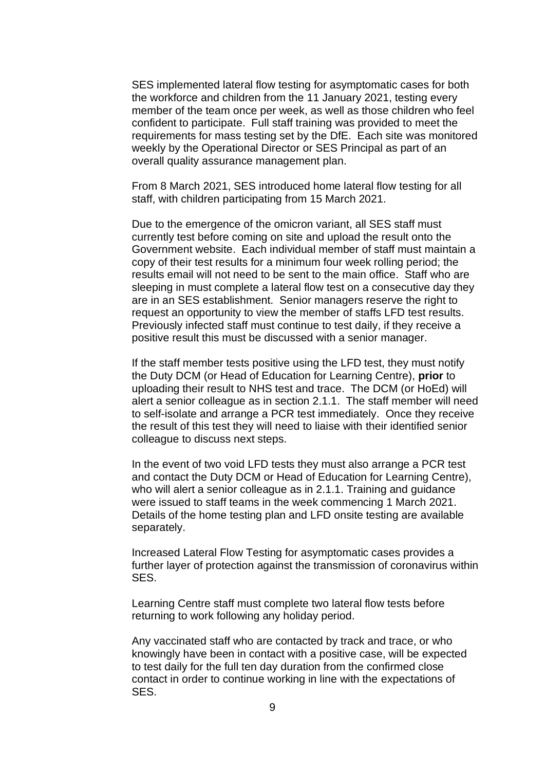SES implemented lateral flow testing for asymptomatic cases for both the workforce and children from the 11 January 2021, testing every member of the team once per week, as well as those children who feel confident to participate. Full staff training was provided to meet the requirements for mass testing set by the DfE. Each site was monitored weekly by the Operational Director or SES Principal as part of an overall quality assurance management plan.

From 8 March 2021, SES introduced home lateral flow testing for all staff, with children participating from 15 March 2021.

Due to the emergence of the omicron variant, all SES staff must currently test before coming on site and upload the result onto the Government website. Each individual member of staff must maintain a copy of their test results for a minimum four week rolling period; the results email will not need to be sent to the main office. Staff who are sleeping in must complete a lateral flow test on a consecutive day they are in an SES establishment. Senior managers reserve the right to request an opportunity to view the member of staffs LFD test results. Previously infected staff must continue to test daily, if they receive a positive result this must be discussed with a senior manager.

If the staff member tests positive using the LFD test, they must notify the Duty DCM (or Head of Education for Learning Centre), **prior** to uploading their result to NHS test and trace. The DCM (or HoEd) will alert a senior colleague as in section 2.1.1. The staff member will need to self-isolate and arrange a PCR test immediately. Once they receive the result of this test they will need to liaise with their identified senior colleague to discuss next steps.

In the event of two void LFD tests they must also arrange a PCR test and contact the Duty DCM or Head of Education for Learning Centre), who will alert a senior colleague as in 2.1.1. Training and guidance were issued to staff teams in the week commencing 1 March 2021. Details of the home testing plan and LFD onsite testing are available separately.

Increased Lateral Flow Testing for asymptomatic cases provides a further layer of protection against the transmission of coronavirus within SES.

Learning Centre staff must complete two lateral flow tests before returning to work following any holiday period.

Any vaccinated staff who are contacted by track and trace, or who knowingly have been in contact with a positive case, will be expected to test daily for the full ten day duration from the confirmed close contact in order to continue working in line with the expectations of SES.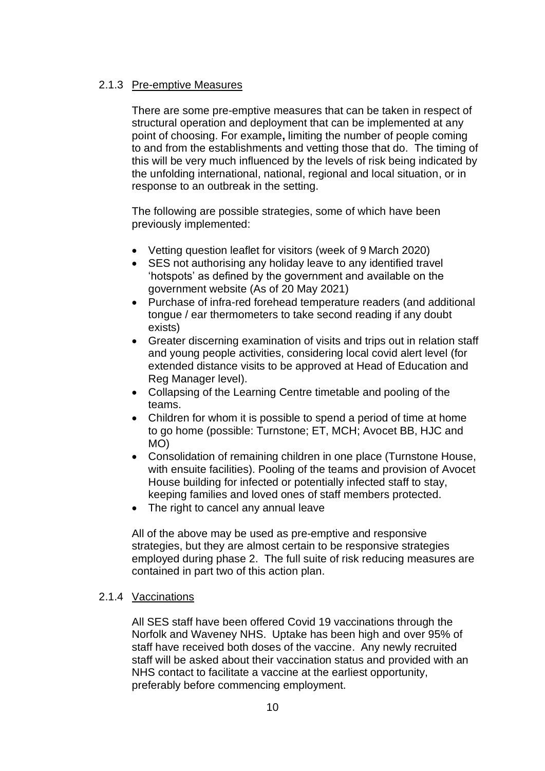# 2.1.3 Pre-emptive Measures

There are some pre-emptive measures that can be taken in respect of structural operation and deployment that can be implemented at any point of choosing. For example**,** limiting the number of people coming to and from the establishments and vetting those that do. The timing of this will be very much influenced by the levels of risk being indicated by the unfolding international, national, regional and local situation, or in response to an outbreak in the setting.

The following are possible strategies, some of which have been previously implemented:

- Vetting question leaflet for visitors (week of 9 March 2020)
- SES not authorising any holiday leave to any identified travel 'hotspots' as defined by the government and available on the government website (As of 20 May 2021)
- Purchase of infra-red forehead temperature readers (and additional tongue / ear thermometers to take second reading if any doubt exists)
- Greater discerning examination of visits and trips out in relation staff and young people activities, considering local covid alert level (for extended distance visits to be approved at Head of Education and Reg Manager level).
- Collapsing of the Learning Centre timetable and pooling of the teams.
- Children for whom it is possible to spend a period of time at home to go home (possible: Turnstone; ET, MCH; Avocet BB, HJC and MO)
- Consolidation of remaining children in one place (Turnstone House, with ensuite facilities). Pooling of the teams and provision of Avocet House building for infected or potentially infected staff to stay, keeping families and loved ones of staff members protected.
- The right to cancel any annual leave

All of the above may be used as pre-emptive and responsive strategies, but they are almost certain to be responsive strategies employed during phase 2. The full suite of risk reducing measures are contained in part two of this action plan.

# 2.1.4 Vaccinations

All SES staff have been offered Covid 19 vaccinations through the Norfolk and Waveney NHS. Uptake has been high and over 95% of staff have received both doses of the vaccine. Any newly recruited staff will be asked about their vaccination status and provided with an NHS contact to facilitate a vaccine at the earliest opportunity, preferably before commencing employment.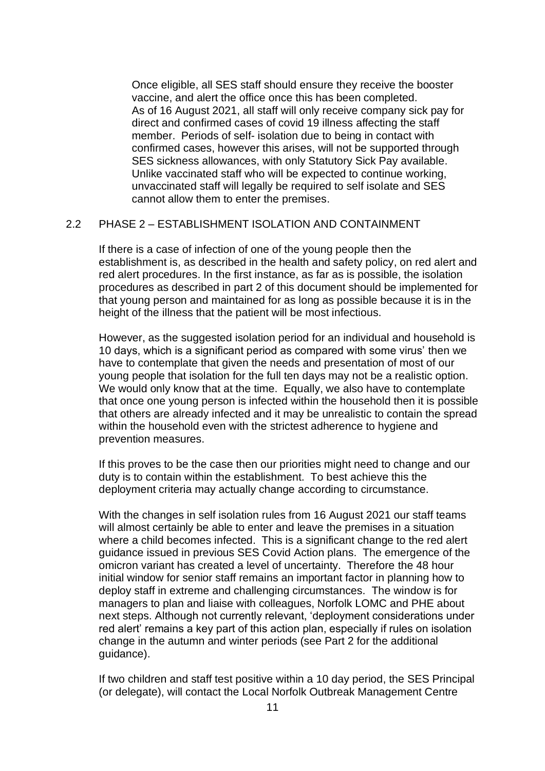Once eligible, all SES staff should ensure they receive the booster vaccine, and alert the office once this has been completed. As of 16 August 2021, all staff will only receive company sick pay for direct and confirmed cases of covid 19 illness affecting the staff member. Periods of self- isolation due to being in contact with confirmed cases, however this arises, will not be supported through SES sickness allowances, with only Statutory Sick Pay available. Unlike vaccinated staff who will be expected to continue working, unvaccinated staff will legally be required to self isolate and SES cannot allow them to enter the premises.

# 2.2 PHASE 2 – ESTABLISHMENT ISOLATION AND CONTAINMENT

If there is a case of infection of one of the young people then the establishment is, as described in the health and safety policy, on red alert and red alert procedures. In the first instance, as far as is possible, the isolation procedures as described in part 2 of this document should be implemented for that young person and maintained for as long as possible because it is in the height of the illness that the patient will be most infectious.

However, as the suggested isolation period for an individual and household is 10 days, which is a significant period as compared with some virus' then we have to contemplate that given the needs and presentation of most of our young people that isolation for the full ten days may not be a realistic option. We would only know that at the time. Equally, we also have to contemplate that once one young person is infected within the household then it is possible that others are already infected and it may be unrealistic to contain the spread within the household even with the strictest adherence to hygiene and prevention measures.

If this proves to be the case then our priorities might need to change and our duty is to contain within the establishment. To best achieve this the deployment criteria may actually change according to circumstance.

With the changes in self isolation rules from 16 August 2021 our staff teams will almost certainly be able to enter and leave the premises in a situation where a child becomes infected. This is a significant change to the red alert guidance issued in previous SES Covid Action plans. The emergence of the omicron variant has created a level of uncertainty. Therefore the 48 hour initial window for senior staff remains an important factor in planning how to deploy staff in extreme and challenging circumstances. The window is for managers to plan and liaise with colleagues, Norfolk LOMC and PHE about next steps. Although not currently relevant, 'deployment considerations under red alert' remains a key part of this action plan, especially if rules on isolation change in the autumn and winter periods (see Part 2 for the additional guidance).

If two children and staff test positive within a 10 day period, the SES Principal (or delegate), will contact the Local Norfolk Outbreak Management Centre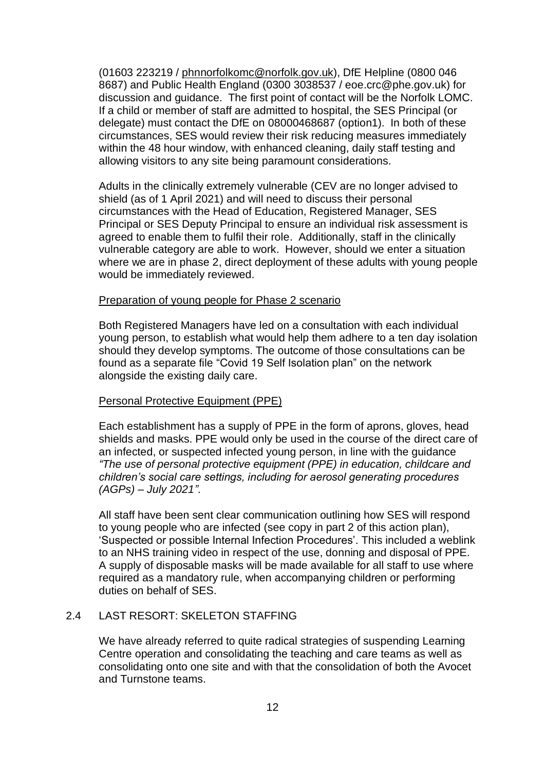(01603 223219 / [phnnorfolkomc@norfolk.gov.uk\)](mailto:phnnorfolkomc@norfolk.gov.uk), DfE Helpline (0800 046 8687) and Public Health England (0300 3038537 / eoe.crc@phe.gov.uk) for discussion and guidance. The first point of contact will be the Norfolk LOMC. If a child or member of staff are admitted to hospital, the SES Principal (or delegate) must contact the DfE on 08000468687 (option1). In both of these circumstances, SES would review their risk reducing measures immediately within the 48 hour window, with enhanced cleaning, daily staff testing and allowing visitors to any site being paramount considerations.

Adults in the clinically extremely vulnerable (CEV are no longer advised to shield (as of 1 April 2021) and will need to discuss their personal circumstances with the Head of Education, Registered Manager, SES Principal or SES Deputy Principal to ensure an individual risk assessment is agreed to enable them to fulfil their role. Additionally, staff in the clinically vulnerable category are able to work. However, should we enter a situation where we are in phase 2, direct deployment of these adults with young people would be immediately reviewed.

#### Preparation of young people for Phase 2 scenario

Both Registered Managers have led on a consultation with each individual young person, to establish what would help them adhere to a ten day isolation should they develop symptoms. The outcome of those consultations can be found as a separate file "Covid 19 Self Isolation plan" on the network alongside the existing daily care.

#### Personal Protective Equipment (PPE)

Each establishment has a supply of PPE in the form of aprons, gloves, head shields and masks. PPE would only be used in the course of the direct care of an infected, or suspected infected young person, in line with the guidance *"The use of personal protective equipment (PPE) in education, childcare and children's social care settings, including for aerosol generating procedures (AGPs) – July 2021".*

All staff have been sent clear communication outlining how SES will respond to young people who are infected (see copy in part 2 of this action plan), 'Suspected or possible Internal Infection Procedures'. This included a weblink to an NHS training video in respect of the use, donning and disposal of PPE. A supply of disposable masks will be made available for all staff to use where required as a mandatory rule, when accompanying children or performing duties on behalf of SES.

# 2.4 LAST RESORT: SKELETON STAFFING

We have already referred to quite radical strategies of suspending Learning Centre operation and consolidating the teaching and care teams as well as consolidating onto one site and with that the consolidation of both the Avocet and Turnstone teams.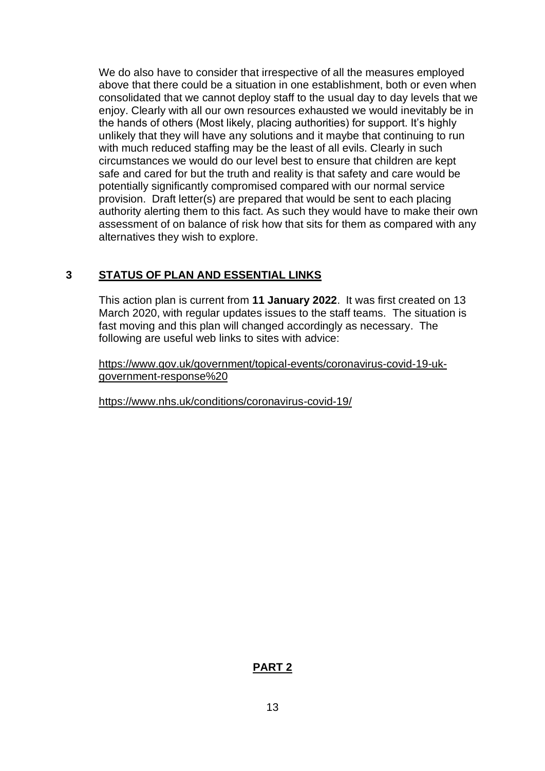We do also have to consider that irrespective of all the measures employed above that there could be a situation in one establishment, both or even when consolidated that we cannot deploy staff to the usual day to day levels that we enjoy. Clearly with all our own resources exhausted we would inevitably be in the hands of others (Most likely, placing authorities) for support. It's highly unlikely that they will have any solutions and it maybe that continuing to run with much reduced staffing may be the least of all evils. Clearly in such circumstances we would do our level best to ensure that children are kept safe and cared for but the truth and reality is that safety and care would be potentially significantly compromised compared with our normal service provision. Draft letter(s) are prepared that would be sent to each placing authority alerting them to this fact. As such they would have to make their own assessment of on balance of risk how that sits for them as compared with any alternatives they wish to explore.

# **3 STATUS OF PLAN AND ESSENTIAL LINKS**

This action plan is current from **11 January 2022**. It was first created on 13 March 2020, with regular updates issues to the staff teams. The situation is fast moving and this plan will changed accordingly as necessary. The following are useful web links to sites with advice:

[https://www.gov.uk/government/topical-events/coronavirus-covid-19-uk](https://www.gov.uk/government/topical-events/coronavirus-covid-19-uk-government-response)[government-response%20](https://www.gov.uk/government/topical-events/coronavirus-covid-19-uk-government-response)

<https://www.nhs.uk/conditions/coronavirus-covid-19/>

# **PART 2**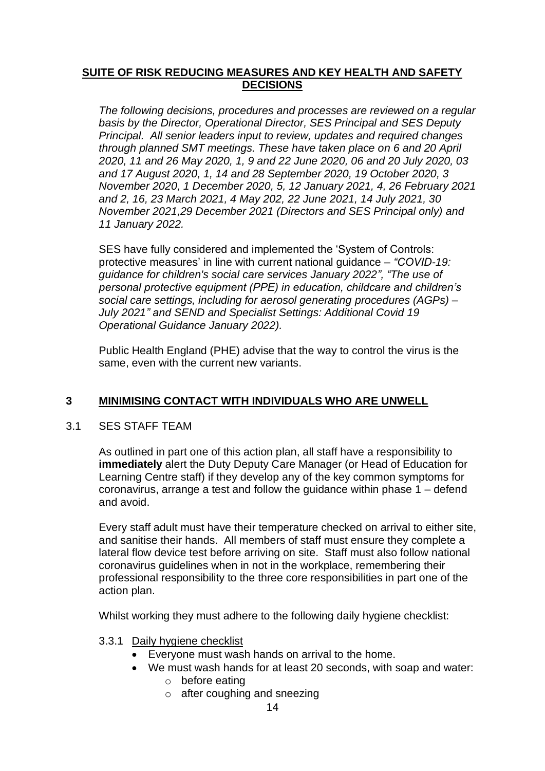# **SUITE OF RISK REDUCING MEASURES AND KEY HEALTH AND SAFETY DECISIONS**

*The following decisions, procedures and processes are reviewed on a regular basis by the Director, Operational Director, SES Principal and SES Deputy Principal. All senior leaders input to review, updates and required changes through planned SMT meetings. These have taken place on 6 and 20 April 2020, 11 and 26 May 2020, 1, 9 and 22 June 2020, 06 and 20 July 2020, 03 and 17 August 2020, 1, 14 and 28 September 2020, 19 October 2020, 3 November 2020, 1 December 2020, 5, 12 January 2021, 4, 26 February 2021 and 2, 16, 23 March 2021, 4 May 202, 22 June 2021, 14 July 2021, 30 November 2021,29 December 2021 (Directors and SES Principal only) and 11 January 2022.*

SES have fully considered and implemented the 'System of Controls: protective measures' in line with current national guidance – *"COVID-19: guidance for children's social care services January 2022", "The use of personal protective equipment (PPE) in education, childcare and children's social care settings, including for aerosol generating procedures (AGPs) – July 2021" and SEND and Specialist Settings: Additional Covid 19 Operational Guidance January 2022).*

Public Health England (PHE) advise that the way to control the virus is the same, even with the current new variants.

# **3 MINIMISING CONTACT WITH INDIVIDUALS WHO ARE UNWELL**

# 3.1 SES STAFF TEAM

As outlined in part one of this action plan, all staff have a responsibility to **immediately** alert the Duty Deputy Care Manager (or Head of Education for Learning Centre staff) if they develop any of the key common symptoms for coronavirus, arrange a test and follow the guidance within phase 1 – defend and avoid.

Every staff adult must have their temperature checked on arrival to either site, and sanitise their hands. All members of staff must ensure they complete a lateral flow device test before arriving on site. Staff must also follow national coronavirus guidelines when in not in the workplace, remembering their professional responsibility to the three core responsibilities in part one of the action plan.

Whilst working they must adhere to the following daily hygiene checklist:

# 3.3.1 Daily hygiene checklist

- Everyone must wash hands on arrival to the home.
- We must wash hands for at least 20 seconds, with soap and water:
	- o before eating
	- o after coughing and sneezing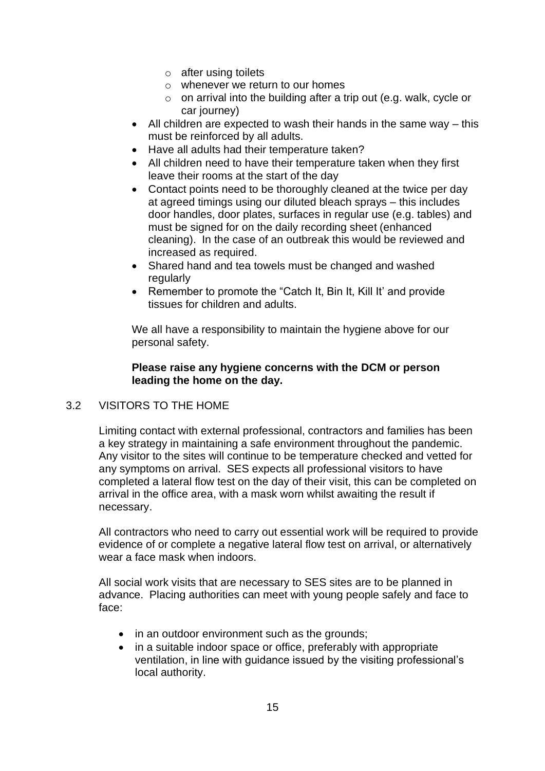- $\circ$  after using toilets
- $\circ$  whenever we return to our homes
- $\circ$  on arrival into the building after a trip out (e.g. walk, cycle or car journey)
- All children are expected to wash their hands in the same way this must be reinforced by all adults.
- Have all adults had their temperature taken?
- All children need to have their temperature taken when they first leave their rooms at the start of the day
- Contact points need to be thoroughly cleaned at the twice per day at agreed timings using our diluted bleach sprays – this includes door handles, door plates, surfaces in regular use (e.g. tables) and must be signed for on the daily recording sheet (enhanced cleaning). In the case of an outbreak this would be reviewed and increased as required.
- Shared hand and tea towels must be changed and washed regularly
- Remember to promote the "Catch It, Bin It, Kill It' and provide tissues for children and adults.

We all have a responsibility to maintain the hygiene above for our personal safety.

# **Please raise any hygiene concerns with the DCM or person leading the home on the day.**

# 3.2 VISITORS TO THE HOME

Limiting contact with external professional, contractors and families has been a key strategy in maintaining a safe environment throughout the pandemic. Any visitor to the sites will continue to be temperature checked and vetted for any symptoms on arrival. SES expects all professional visitors to have completed a lateral flow test on the day of their visit, this can be completed on arrival in the office area, with a mask worn whilst awaiting the result if necessary.

All contractors who need to carry out essential work will be required to provide evidence of or complete a negative lateral flow test on arrival, or alternatively wear a face mask when indoors.

All social work visits that are necessary to SES sites are to be planned in advance. Placing authorities can meet with young people safely and face to face:

- in an outdoor environment such as the grounds;
- in a suitable indoor space or office, preferably with appropriate ventilation, in line with guidance issued by the visiting professional's local authority.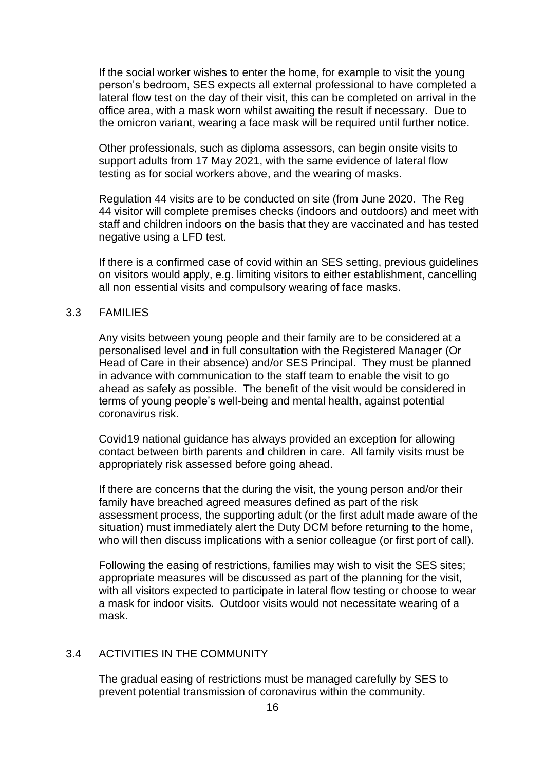If the social worker wishes to enter the home, for example to visit the young person's bedroom, SES expects all external professional to have completed a lateral flow test on the day of their visit, this can be completed on arrival in the office area, with a mask worn whilst awaiting the result if necessary. Due to the omicron variant, wearing a face mask will be required until further notice.

Other professionals, such as diploma assessors, can begin onsite visits to support adults from 17 May 2021, with the same evidence of lateral flow testing as for social workers above, and the wearing of masks.

Regulation 44 visits are to be conducted on site (from June 2020. The Reg 44 visitor will complete premises checks (indoors and outdoors) and meet with staff and children indoors on the basis that they are vaccinated and has tested negative using a LFD test.

If there is a confirmed case of covid within an SES setting, previous guidelines on visitors would apply, e.g. limiting visitors to either establishment, cancelling all non essential visits and compulsory wearing of face masks.

#### 3.3 FAMILIES

Any visits between young people and their family are to be considered at a personalised level and in full consultation with the Registered Manager (Or Head of Care in their absence) and/or SES Principal. They must be planned in advance with communication to the staff team to enable the visit to go ahead as safely as possible. The benefit of the visit would be considered in terms of young people's well-being and mental health, against potential coronavirus risk.

Covid19 national guidance has always provided an exception for allowing contact between birth parents and children in care. All family visits must be appropriately risk assessed before going ahead.

If there are concerns that the during the visit, the young person and/or their family have breached agreed measures defined as part of the risk assessment process, the supporting adult (or the first adult made aware of the situation) must immediately alert the Duty DCM before returning to the home, who will then discuss implications with a senior colleague (or first port of call).

Following the easing of restrictions, families may wish to visit the SES sites; appropriate measures will be discussed as part of the planning for the visit, with all visitors expected to participate in lateral flow testing or choose to wear a mask for indoor visits. Outdoor visits would not necessitate wearing of a mask.

#### 3.4 ACTIVITIES IN THE COMMUNITY

The gradual easing of restrictions must be managed carefully by SES to prevent potential transmission of coronavirus within the community.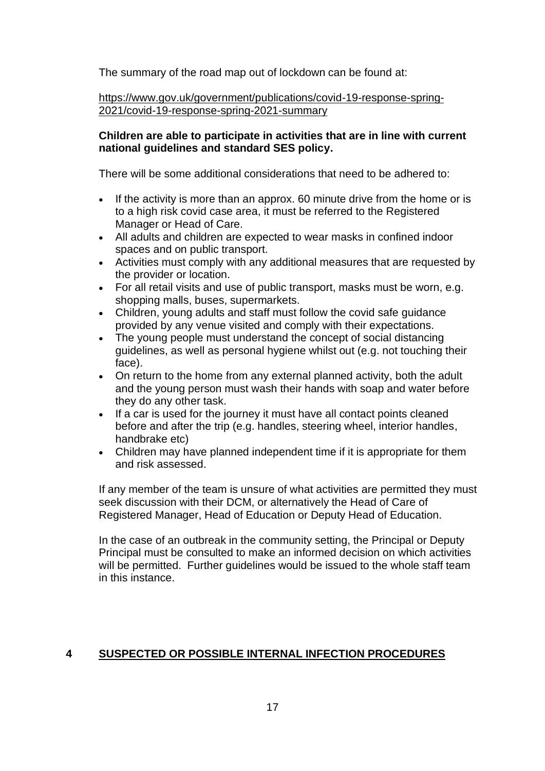The summary of the road map out of lockdown can be found at:

[https://www.gov.uk/government/publications/covid-19-response-spring-](https://www.gov.uk/government/publications/covid-19-response-spring-2021/covid-19-response-spring-2021-summary)[2021/covid-19-response-spring-2021-summary](https://www.gov.uk/government/publications/covid-19-response-spring-2021/covid-19-response-spring-2021-summary)

# **Children are able to participate in activities that are in line with current national guidelines and standard SES policy.**

There will be some additional considerations that need to be adhered to:

- If the activity is more than an approx. 60 minute drive from the home or is to a high risk covid case area, it must be referred to the Registered Manager or Head of Care.
- All adults and children are expected to wear masks in confined indoor spaces and on public transport.
- Activities must comply with any additional measures that are requested by the provider or location.
- For all retail visits and use of public transport, masks must be worn, e.g. shopping malls, buses, supermarkets.
- Children, young adults and staff must follow the covid safe guidance provided by any venue visited and comply with their expectations.
- The young people must understand the concept of social distancing guidelines, as well as personal hygiene whilst out (e.g. not touching their face).
- On return to the home from any external planned activity, both the adult and the young person must wash their hands with soap and water before they do any other task.
- If a car is used for the journey it must have all contact points cleaned before and after the trip (e.g. handles, steering wheel, interior handles, handbrake etc)
- Children may have planned independent time if it is appropriate for them and risk assessed.

If any member of the team is unsure of what activities are permitted they must seek discussion with their DCM, or alternatively the Head of Care of Registered Manager, Head of Education or Deputy Head of Education.

In the case of an outbreak in the community setting, the Principal or Deputy Principal must be consulted to make an informed decision on which activities will be permitted. Further guidelines would be issued to the whole staff team in this instance.

# **4 SUSPECTED OR POSSIBLE INTERNAL INFECTION PROCEDURES**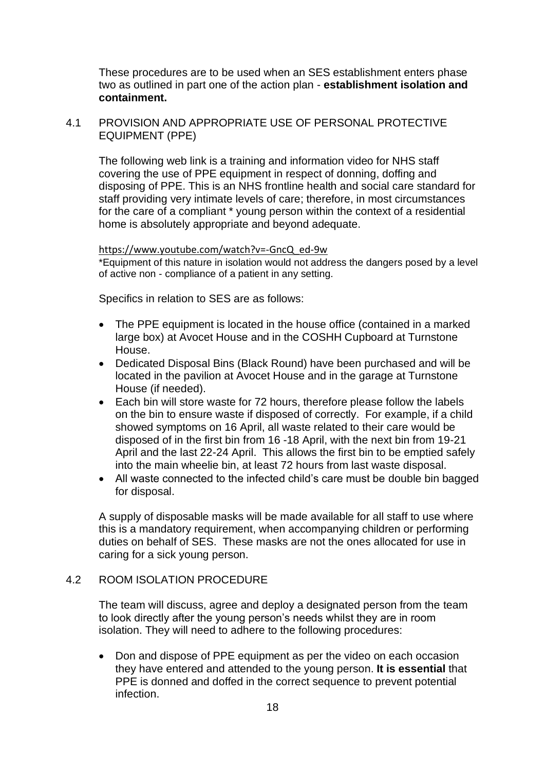These procedures are to be used when an SES establishment enters phase two as outlined in part one of the action plan - **establishment isolation and containment.**

#### 4.1 PROVISION AND APPROPRIATE USE OF PERSONAL PROTECTIVE EQUIPMENT (PPE)

The following web link is a training and information video for NHS staff covering the use of PPE equipment in respect of donning, doffing and disposing of PPE. This is an NHS frontline health and social care standard for staff providing very intimate levels of care; therefore, in most circumstances for the care of a compliant \* young person within the context of a residential home is absolutely appropriate and beyond adequate.

#### [https://www.youtube.com/watch?v=-GncQ\\_ed-9w](https://www.youtube.com/watch?v=-GncQ_ed-9w)

\*Equipment of this nature in isolation would not address the dangers posed by a level of active non - compliance of a patient in any setting.

Specifics in relation to SES are as follows:

- The PPE equipment is located in the house office (contained in a marked large box) at Avocet House and in the COSHH Cupboard at Turnstone House.
- Dedicated Disposal Bins (Black Round) have been purchased and will be located in the pavilion at Avocet House and in the garage at Turnstone House (if needed).
- Each bin will store waste for 72 hours, therefore please follow the labels on the bin to ensure waste if disposed of correctly. For example, if a child showed symptoms on 16 April, all waste related to their care would be disposed of in the first bin from 16 -18 April, with the next bin from 19-21 April and the last 22-24 April. This allows the first bin to be emptied safely into the main wheelie bin, at least 72 hours from last waste disposal.
- All waste connected to the infected child's care must be double bin bagged for disposal.

A supply of disposable masks will be made available for all staff to use where this is a mandatory requirement, when accompanying children or performing duties on behalf of SES. These masks are not the ones allocated for use in caring for a sick young person.

#### 4.2 ROOM ISOLATION PROCEDURE

The team will discuss, agree and deploy a designated person from the team to look directly after the young person's needs whilst they are in room isolation. They will need to adhere to the following procedures:

• Don and dispose of PPE equipment as per the video on each occasion they have entered and attended to the young person. **It is essential** that PPE is donned and doffed in the correct sequence to prevent potential infection.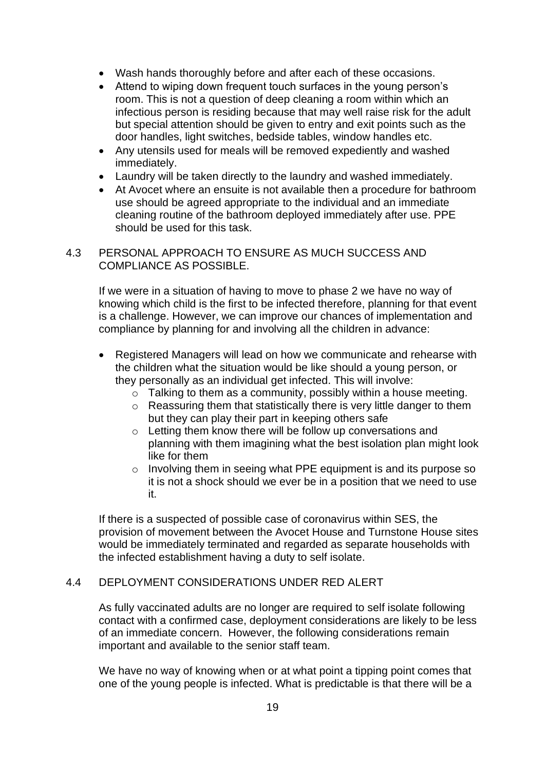- Wash hands thoroughly before and after each of these occasions.
- Attend to wiping down frequent touch surfaces in the young person's room. This is not a question of deep cleaning a room within which an infectious person is residing because that may well raise risk for the adult but special attention should be given to entry and exit points such as the door handles, light switches, bedside tables, window handles etc.
- Any utensils used for meals will be removed expediently and washed immediately.
- Laundry will be taken directly to the laundry and washed immediately.
- At Avocet where an ensuite is not available then a procedure for bathroom use should be agreed appropriate to the individual and an immediate cleaning routine of the bathroom deployed immediately after use. PPE should be used for this task.

# 4.3 PERSONAL APPROACH TO ENSURE AS MUCH SUCCESS AND COMPLIANCE AS POSSIBLE.

If we were in a situation of having to move to phase 2 we have no way of knowing which child is the first to be infected therefore, planning for that event is a challenge. However, we can improve our chances of implementation and compliance by planning for and involving all the children in advance:

- Registered Managers will lead on how we communicate and rehearse with the children what the situation would be like should a young person, or they personally as an individual get infected. This will involve:
	- o Talking to them as a community, possibly within a house meeting.
	- o Reassuring them that statistically there is very little danger to them but they can play their part in keeping others safe
	- o Letting them know there will be follow up conversations and planning with them imagining what the best isolation plan might look like for them
	- o Involving them in seeing what PPE equipment is and its purpose so it is not a shock should we ever be in a position that we need to use it.

If there is a suspected of possible case of coronavirus within SES, the provision of movement between the Avocet House and Turnstone House sites would be immediately terminated and regarded as separate households with the infected establishment having a duty to self isolate.

#### 4.4 DEPLOYMENT CONSIDERATIONS UNDER RED ALERT

As fully vaccinated adults are no longer are required to self isolate following contact with a confirmed case, deployment considerations are likely to be less of an immediate concern. However, the following considerations remain important and available to the senior staff team.

We have no way of knowing when or at what point a tipping point comes that one of the young people is infected. What is predictable is that there will be a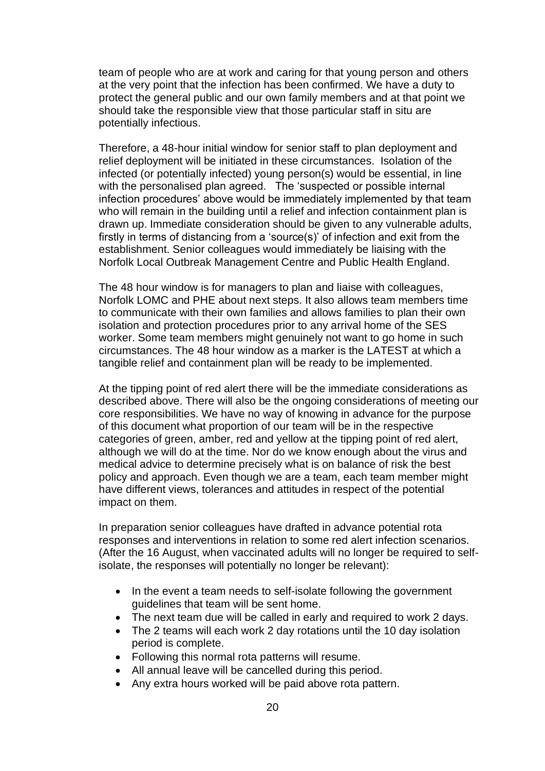team of people who are at work and caring for that young person and others at the very point that the infection has been confirmed. We have a duty to protect the general public and our own family members and at that point we should take the responsible view that those particular staff in situ are potentially infectious.

Therefore, a 48-hour initial window for senior staff to plan deployment and relief deployment will be initiated in these circumstances. Isolation of the infected (or potentially infected) young person(s) would be essential, in line with the personalised plan agreed. The 'suspected or possible internal infection procedures' above would be immediately implemented by that team who will remain in the building until a relief and infection containment plan is drawn up. Immediate consideration should be given to any vulnerable adults, firstly in terms of distancing from a 'source(s)' of infection and exit from the establishment. Senior colleagues would immediately be liaising with the Norfolk Local Outbreak Management Centre and Public Health England.

The 48 hour window is for managers to plan and liaise with colleagues, Norfolk LOMC and PHE about next steps. It also allows team members time to communicate with their own families and allows families to plan their own isolation and protection procedures prior to any arrival home of the SES worker. Some team members might genuinely not want to go home in such circumstances. The 48 hour window as a marker is the LATEST at which a tangible relief and containment plan will be ready to be implemented.

At the tipping point of red alert there will be the immediate considerations as described above. There will also be the ongoing considerations of meeting our core responsibilities. We have no way of knowing in advance for the purpose of this document what proportion of our team will be in the respective categories of green, amber, red and yellow at the tipping point of red alert, although we will do at the time. Nor do we know enough about the virus and medical advice to determine precisely what is on balance of risk the best policy and approach. Even though we are a team, each team member might have different views, tolerances and attitudes in respect of the potential impact on them.

In preparation senior colleagues have drafted in advance potential rota responses and interventions in relation to some red alert infection scenarios. (After the 16 August, when vaccinated adults will no longer be required to selfisolate, the responses will potentially no longer be relevant):

- In the event a team needs to self-isolate following the government guidelines that team will be sent home.
- The next team due will be called in early and required to work 2 days.
- The 2 teams will each work 2 day rotations until the 10 day isolation period is complete.
- Following this normal rota patterns will resume.
- All annual leave will be cancelled during this period.
- Any extra hours worked will be paid above rota pattern.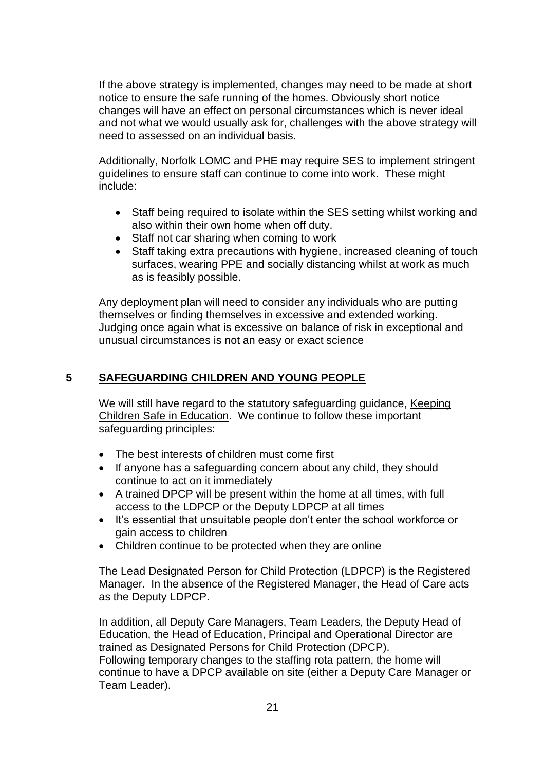If the above strategy is implemented, changes may need to be made at short notice to ensure the safe running of the homes. Obviously short notice changes will have an effect on personal circumstances which is never ideal and not what we would usually ask for, challenges with the above strategy will need to assessed on an individual basis.

Additionally, Norfolk LOMC and PHE may require SES to implement stringent guidelines to ensure staff can continue to come into work.These might include:

- Staff being required to isolate within the SES setting whilst working and also within their own home when off duty.
- Staff not car sharing when coming to work
- Staff taking extra precautions with hygiene, increased cleaning of touch surfaces, wearing PPE and socially distancing whilst at work as much as is feasibly possible.

Any deployment plan will need to consider any individuals who are putting themselves or finding themselves in excessive and extended working. Judging once again what is excessive on balance of risk in exceptional and unusual circumstances is not an easy or exact science

# **5 SAFEGUARDING CHILDREN AND YOUNG PEOPLE**

We will still have regard to the statutory safeguarding guidance, [Keeping](https://www.gov.uk/government/publications/keeping-children-safe-in-education--2)  [Children Safe in Education.](https://www.gov.uk/government/publications/keeping-children-safe-in-education--2) We continue to follow these important safeguarding principles:

- The best interests of children must come first
- If anyone has a safeguarding concern about any child, they should continue to act on it immediately
- A trained DPCP will be present within the home at all times, with full access to the LDPCP or the Deputy LDPCP at all times
- It's essential that unsuitable people don't enter the school workforce or gain access to children
- Children continue to be protected when they are online

The Lead Designated Person for Child Protection (LDPCP) is the Registered Manager. In the absence of the Registered Manager, the Head of Care acts as the Deputy LDPCP.

In addition, all Deputy Care Managers, Team Leaders, the Deputy Head of Education, the Head of Education, Principal and Operational Director are trained as Designated Persons for Child Protection (DPCP). Following temporary changes to the staffing rota pattern, the home will continue to have a DPCP available on site (either a Deputy Care Manager or Team Leader).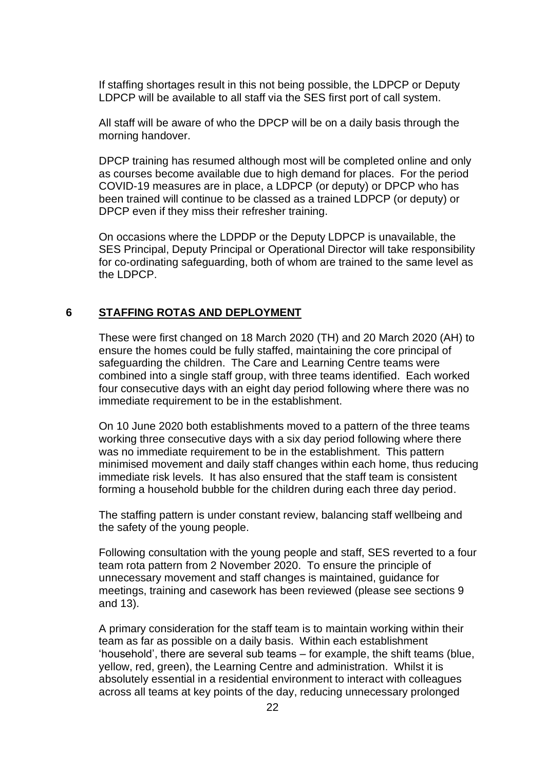If staffing shortages result in this not being possible, the LDPCP or Deputy LDPCP will be available to all staff via the SES first port of call system.

All staff will be aware of who the DPCP will be on a daily basis through the morning handover.

DPCP training has resumed although most will be completed online and only as courses become available due to high demand for places. For the period COVID-19 measures are in place, a LDPCP (or deputy) or DPCP who has been trained will continue to be classed as a trained LDPCP (or deputy) or DPCP even if they miss their refresher training.

On occasions where the LDPDP or the Deputy LDPCP is unavailable, the SES Principal, Deputy Principal or Operational Director will take responsibility for co-ordinating safeguarding, both of whom are trained to the same level as the LDPCP.

# **6 STAFFING ROTAS AND DEPLOYMENT**

These were first changed on 18 March 2020 (TH) and 20 March 2020 (AH) to ensure the homes could be fully staffed, maintaining the core principal of safeguarding the children. The Care and Learning Centre teams were combined into a single staff group, with three teams identified. Each worked four consecutive days with an eight day period following where there was no immediate requirement to be in the establishment.

On 10 June 2020 both establishments moved to a pattern of the three teams working three consecutive days with a six day period following where there was no immediate requirement to be in the establishment. This pattern minimised movement and daily staff changes within each home, thus reducing immediate risk levels. It has also ensured that the staff team is consistent forming a household bubble for the children during each three day period.

The staffing pattern is under constant review, balancing staff wellbeing and the safety of the young people.

Following consultation with the young people and staff, SES reverted to a four team rota pattern from 2 November 2020. To ensure the principle of unnecessary movement and staff changes is maintained, guidance for meetings, training and casework has been reviewed (please see sections 9 and 13).

A primary consideration for the staff team is to maintain working within their team as far as possible on a daily basis. Within each establishment 'household', there are several sub teams – for example, the shift teams (blue, yellow, red, green), the Learning Centre and administration. Whilst it is absolutely essential in a residential environment to interact with colleagues across all teams at key points of the day, reducing unnecessary prolonged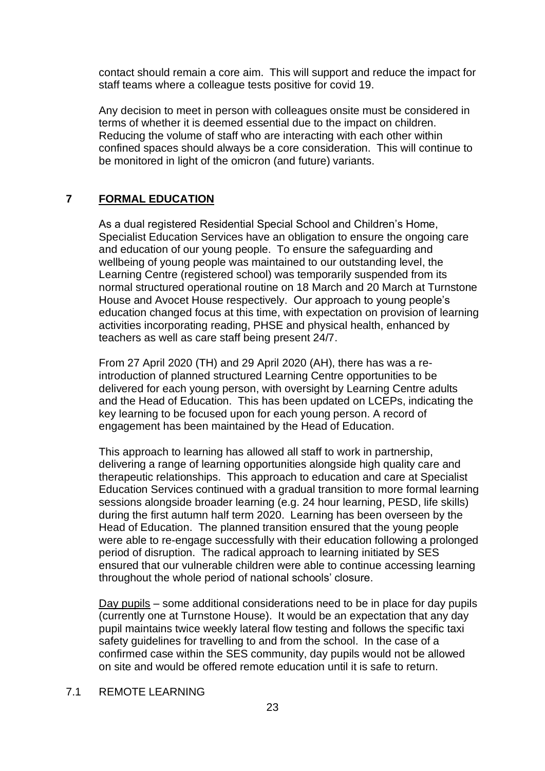contact should remain a core aim. This will support and reduce the impact for staff teams where a colleague tests positive for covid 19.

Any decision to meet in person with colleagues onsite must be considered in terms of whether it is deemed essential due to the impact on children. Reducing the volume of staff who are interacting with each other within confined spaces should always be a core consideration. This will continue to be monitored in light of the omicron (and future) variants.

# **7 FORMAL EDUCATION**

As a dual registered Residential Special School and Children's Home, Specialist Education Services have an obligation to ensure the ongoing care and education of our young people. To ensure the safeguarding and wellbeing of young people was maintained to our outstanding level, the Learning Centre (registered school) was temporarily suspended from its normal structured operational routine on 18 March and 20 March at Turnstone House and Avocet House respectively. Our approach to young people's education changed focus at this time, with expectation on provision of learning activities incorporating reading, PHSE and physical health, enhanced by teachers as well as care staff being present 24/7.

From 27 April 2020 (TH) and 29 April 2020 (AH), there has was a reintroduction of planned structured Learning Centre opportunities to be delivered for each young person, with oversight by Learning Centre adults and the Head of Education. This has been updated on LCEPs, indicating the key learning to be focused upon for each young person. A record of engagement has been maintained by the Head of Education.

This approach to learning has allowed all staff to work in partnership, delivering a range of learning opportunities alongside high quality care and therapeutic relationships. This approach to education and care at Specialist Education Services continued with a gradual transition to more formal learning sessions alongside broader learning (e.g. 24 hour learning, PESD, life skills) during the first autumn half term 2020. Learning has been overseen by the Head of Education. The planned transition ensured that the young people were able to re-engage successfully with their education following a prolonged period of disruption. The radical approach to learning initiated by SES ensured that our vulnerable children were able to continue accessing learning throughout the whole period of national schools' closure.

Day pupils – some additional considerations need to be in place for day pupils (currently one at Turnstone House). It would be an expectation that any day pupil maintains twice weekly lateral flow testing and follows the specific taxi safety guidelines for travelling to and from the school. In the case of a confirmed case within the SES community, day pupils would not be allowed on site and would be offered remote education until it is safe to return.

#### 7.1 REMOTE LEARNING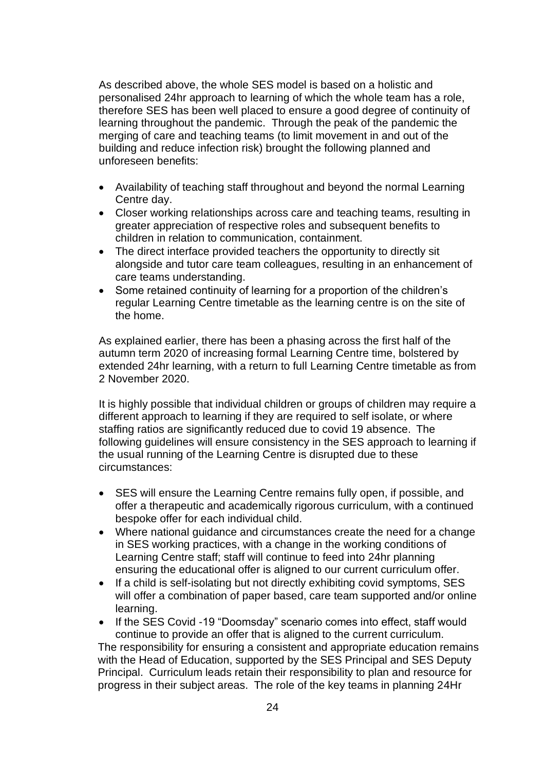As described above, the whole SES model is based on a holistic and personalised 24hr approach to learning of which the whole team has a role, therefore SES has been well placed to ensure a good degree of continuity of learning throughout the pandemic. Through the peak of the pandemic the merging of care and teaching teams (to limit movement in and out of the building and reduce infection risk) brought the following planned and unforeseen benefits:

- Availability of teaching staff throughout and beyond the normal Learning Centre day.
- Closer working relationships across care and teaching teams, resulting in greater appreciation of respective roles and subsequent benefits to children in relation to communication, containment.
- The direct interface provided teachers the opportunity to directly sit alongside and tutor care team colleagues, resulting in an enhancement of care teams understanding.
- Some retained continuity of learning for a proportion of the children's regular Learning Centre timetable as the learning centre is on the site of the home.

As explained earlier, there has been a phasing across the first half of the autumn term 2020 of increasing formal Learning Centre time, bolstered by extended 24hr learning, with a return to full Learning Centre timetable as from 2 November 2020.

It is highly possible that individual children or groups of children may require a different approach to learning if they are required to self isolate, or where staffing ratios are significantly reduced due to covid 19 absence. The following guidelines will ensure consistency in the SES approach to learning if the usual running of the Learning Centre is disrupted due to these circumstances:

- SES will ensure the Learning Centre remains fully open, if possible, and offer a therapeutic and academically rigorous curriculum, with a continued bespoke offer for each individual child.
- Where national guidance and circumstances create the need for a change in SES working practices, with a change in the working conditions of Learning Centre staff; staff will continue to feed into 24hr planning ensuring the educational offer is aligned to our current curriculum offer.
- If a child is self-isolating but not directly exhibiting covid symptoms, SES will offer a combination of paper based, care team supported and/or online learning.
- If the SES Covid -19 "Doomsday" scenario comes into effect, staff would continue to provide an offer that is aligned to the current curriculum.

The responsibility for ensuring a consistent and appropriate education remains with the Head of Education, supported by the SES Principal and SES Deputy Principal. Curriculum leads retain their responsibility to plan and resource for progress in their subject areas. The role of the key teams in planning 24Hr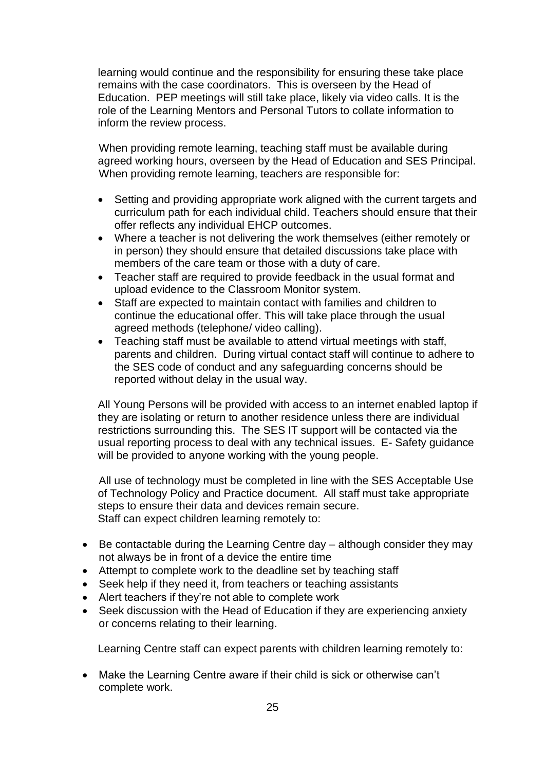learning would continue and the responsibility for ensuring these take place remains with the case coordinators. This is overseen by the Head of Education. PEP meetings will still take place, likely via video calls. It is the role of the Learning Mentors and Personal Tutors to collate information to inform the review process.

When providing remote learning, teaching staff must be available during agreed working hours, overseen by the Head of Education and SES Principal. When providing remote learning, teachers are responsible for:

- Setting and providing appropriate work aligned with the current targets and curriculum path for each individual child. Teachers should ensure that their offer reflects any individual EHCP outcomes.
- Where a teacher is not delivering the work themselves (either remotely or in person) they should ensure that detailed discussions take place with members of the care team or those with a duty of care.
- Teacher staff are required to provide feedback in the usual format and upload evidence to the Classroom Monitor system.
- Staff are expected to maintain contact with families and children to continue the educational offer. This will take place through the usual agreed methods (telephone/ video calling).
- Teaching staff must be available to attend virtual meetings with staff, parents and children. During virtual contact staff will continue to adhere to the SES code of conduct and any safeguarding concerns should be reported without delay in the usual way.

All Young Persons will be provided with access to an internet enabled laptop if they are isolating or return to another residence unless there are individual restrictions surrounding this. The SES IT support will be contacted via the usual reporting process to deal with any technical issues. E- Safety guidance will be provided to anyone working with the young people.

All use of technology must be completed in line with the SES Acceptable Use of Technology Policy and Practice document. All staff must take appropriate steps to ensure their data and devices remain secure. Staff can expect children learning remotely to:

- Be contactable during the Learning Centre day although consider they may not always be in front of a device the entire time
- Attempt to complete work to the deadline set by teaching staff
- Seek help if they need it, from teachers or teaching assistants
- Alert teachers if they're not able to complete work
- Seek discussion with the Head of Education if they are experiencing anxiety or concerns relating to their learning.

Learning Centre staff can expect parents with children learning remotely to:

• Make the Learning Centre aware if their child is sick or otherwise can't complete work.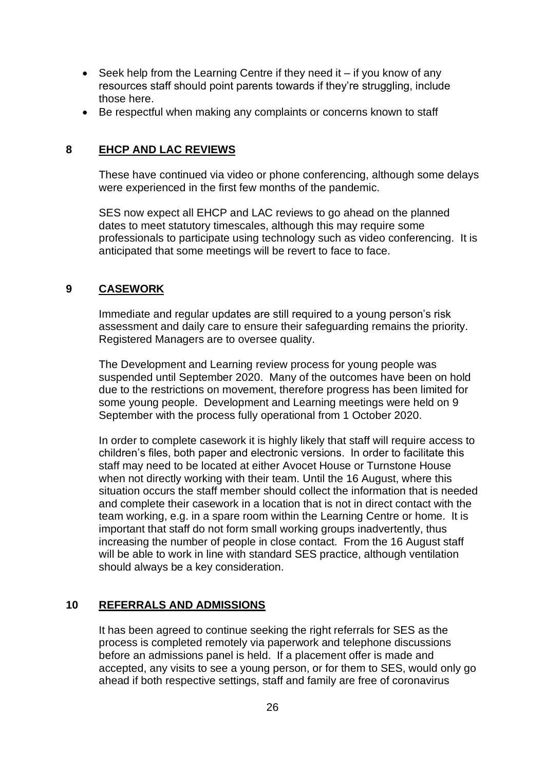- Seek help from the Learning Centre if they need it if you know of any resources staff should point parents towards if they're struggling, include those here.
- Be respectful when making any complaints or concerns known to staff

#### **8 EHCP AND LAC REVIEWS**

These have continued via video or phone conferencing, although some delays were experienced in the first few months of the pandemic.

SES now expect all EHCP and LAC reviews to go ahead on the planned dates to meet statutory timescales, although this may require some professionals to participate using technology such as video conferencing. It is anticipated that some meetings will be revert to face to face.

#### **9 CASEWORK**

Immediate and regular updates are still required to a young person's risk assessment and daily care to ensure their safeguarding remains the priority. Registered Managers are to oversee quality.

The Development and Learning review process for young people was suspended until September 2020. Many of the outcomes have been on hold due to the restrictions on movement, therefore progress has been limited for some young people. Development and Learning meetings were held on 9 September with the process fully operational from 1 October 2020.

In order to complete casework it is highly likely that staff will require access to children's files, both paper and electronic versions. In order to facilitate this staff may need to be located at either Avocet House or Turnstone House when not directly working with their team. Until the 16 August, where this situation occurs the staff member should collect the information that is needed and complete their casework in a location that is not in direct contact with the team working, e.g. in a spare room within the Learning Centre or home. It is important that staff do not form small working groups inadvertently, thus increasing the number of people in close contact. From the 16 August staff will be able to work in line with standard SES practice, although ventilation should always be a key consideration.

# **10 REFERRALS AND ADMISSIONS**

It has been agreed to continue seeking the right referrals for SES as the process is completed remotely via paperwork and telephone discussions before an admissions panel is held. If a placement offer is made and accepted, any visits to see a young person, or for them to SES, would only go ahead if both respective settings, staff and family are free of coronavirus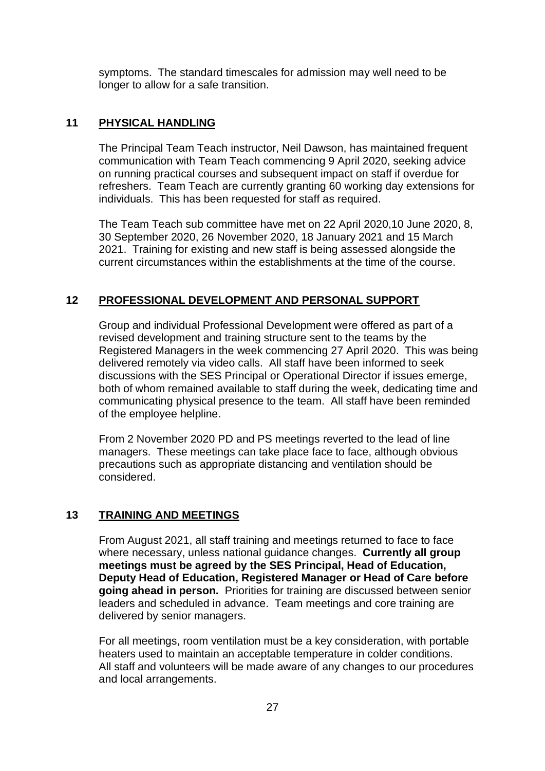symptoms. The standard timescales for admission may well need to be longer to allow for a safe transition.

# **11 PHYSICAL HANDLING**

The Principal Team Teach instructor, Neil Dawson, has maintained frequent communication with Team Teach commencing 9 April 2020, seeking advice on running practical courses and subsequent impact on staff if overdue for refreshers. Team Teach are currently granting 60 working day extensions for individuals. This has been requested for staff as required.

The Team Teach sub committee have met on 22 April 2020,10 June 2020, 8, 30 September 2020, 26 November 2020, 18 January 2021 and 15 March 2021. Training for existing and new staff is being assessed alongside the current circumstances within the establishments at the time of the course.

# **12 PROFESSIONAL DEVELOPMENT AND PERSONAL SUPPORT**

Group and individual Professional Development were offered as part of a revised development and training structure sent to the teams by the Registered Managers in the week commencing 27 April 2020. This was being delivered remotely via video calls. All staff have been informed to seek discussions with the SES Principal or Operational Director if issues emerge, both of whom remained available to staff during the week, dedicating time and communicating physical presence to the team. All staff have been reminded of the employee helpline.

From 2 November 2020 PD and PS meetings reverted to the lead of line managers. These meetings can take place face to face, although obvious precautions such as appropriate distancing and ventilation should be considered.

# **13 TRAINING AND MEETINGS**

From August 2021, all staff training and meetings returned to face to face where necessary, unless national guidance changes. **Currently all group meetings must be agreed by the SES Principal, Head of Education, Deputy Head of Education, Registered Manager or Head of Care before going ahead in person.** Priorities for training are discussed between senior leaders and scheduled in advance. Team meetings and core training are delivered by senior managers.

For all meetings, room ventilation must be a key consideration, with portable heaters used to maintain an acceptable temperature in colder conditions. All staff and volunteers will be made aware of any changes to our procedures and local arrangements.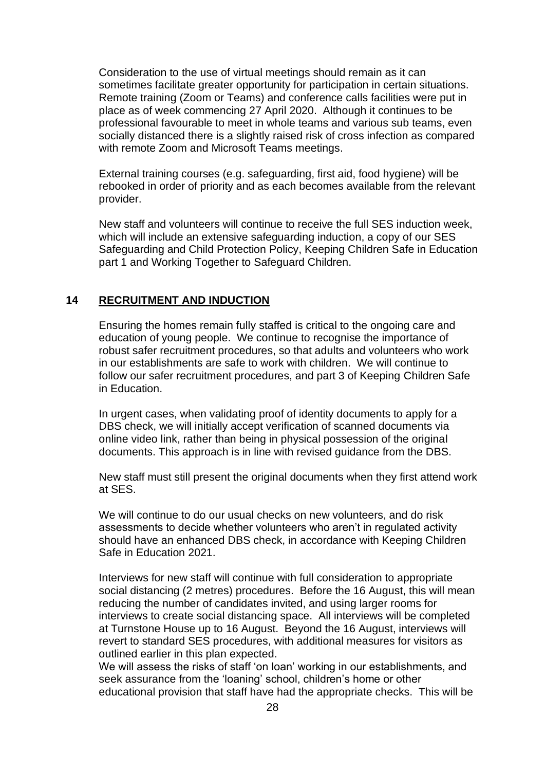Consideration to the use of virtual meetings should remain as it can sometimes facilitate greater opportunity for participation in certain situations. Remote training (Zoom or Teams) and conference calls facilities were put in place as of week commencing 27 April 2020. Although it continues to be professional favourable to meet in whole teams and various sub teams, even socially distanced there is a slightly raised risk of cross infection as compared with remote Zoom and Microsoft Teams meetings.

External training courses (e.g. safeguarding, first aid, food hygiene) will be rebooked in order of priority and as each becomes available from the relevant provider.

New staff and volunteers will continue to receive the full SES induction week, which will include an extensive safeguarding induction, a copy of our SES Safeguarding and Child Protection Policy, Keeping Children Safe in Education part 1 and Working Together to Safeguard Children.

#### **14 RECRUITMENT AND INDUCTION**

Ensuring the homes remain fully staffed is critical to the ongoing care and education of young people. We continue to recognise the importance of robust safer recruitment procedures, so that adults and volunteers who work in our establishments are safe to work with children. We will continue to follow our safer recruitment procedures, and part 3 of Keeping Children Safe in Education.

In urgent cases, when validating proof of identity documents to apply for a DBS check, we will initially accept verification of scanned documents via online video link, rather than being in physical possession of the original documents. This approach is in line with revised guidance from the DBS.

New staff must still present the original documents when they first attend work at SES.

We will continue to do our usual checks on new volunteers, and do risk assessments to decide whether volunteers who aren't in regulated activity should have an enhanced DBS check, in accordance with Keeping Children Safe in Education 2021.

Interviews for new staff will continue with full consideration to appropriate social distancing (2 metres) procedures. Before the 16 August, this will mean reducing the number of candidates invited, and using larger rooms for interviews to create social distancing space. All interviews will be completed at Turnstone House up to 16 August. Beyond the 16 August, interviews will revert to standard SES procedures, with additional measures for visitors as outlined earlier in this plan expected.

We will assess the risks of staff 'on loan' working in our establishments, and seek assurance from the 'loaning' school, children's home or other educational provision that staff have had the appropriate checks. This will be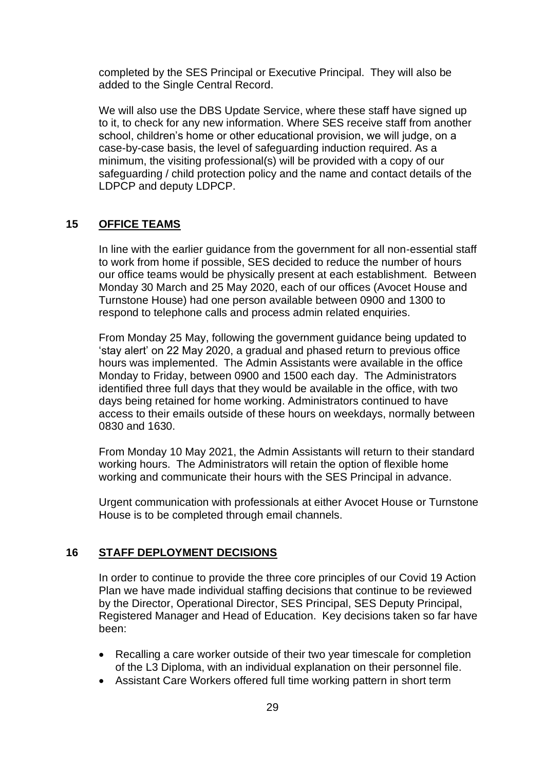completed by the SES Principal or Executive Principal. They will also be added to the Single Central Record.

We will also use the DBS Update Service, where these staff have signed up to it, to check for any new information. Where SES receive staff from another school, children's home or other educational provision, we will judge, on a case-by-case basis, the level of safeguarding induction required. As a minimum, the visiting professional(s) will be provided with a copy of our safeguarding / child protection policy and the name and contact details of the LDPCP and deputy LDPCP.

#### **15 OFFICE TEAMS**

In line with the earlier guidance from the government for all non-essential staff to work from home if possible, SES decided to reduce the number of hours our office teams would be physically present at each establishment. Between Monday 30 March and 25 May 2020, each of our offices (Avocet House and Turnstone House) had one person available between 0900 and 1300 to respond to telephone calls and process admin related enquiries.

From Monday 25 May, following the government guidance being updated to 'stay alert' on 22 May 2020, a gradual and phased return to previous office hours was implemented. The Admin Assistants were available in the office Monday to Friday, between 0900 and 1500 each day. The Administrators identified three full days that they would be available in the office, with two days being retained for home working. Administrators continued to have access to their emails outside of these hours on weekdays, normally between 0830 and 1630.

From Monday 10 May 2021, the Admin Assistants will return to their standard working hours. The Administrators will retain the option of flexible home working and communicate their hours with the SES Principal in advance.

Urgent communication with professionals at either Avocet House or Turnstone House is to be completed through email channels.

#### **16 STAFF DEPLOYMENT DECISIONS**

In order to continue to provide the three core principles of our Covid 19 Action Plan we have made individual staffing decisions that continue to be reviewed by the Director, Operational Director, SES Principal, SES Deputy Principal, Registered Manager and Head of Education. Key decisions taken so far have been:

- Recalling a care worker outside of their two year timescale for completion of the L3 Diploma, with an individual explanation on their personnel file.
- Assistant Care Workers offered full time working pattern in short term